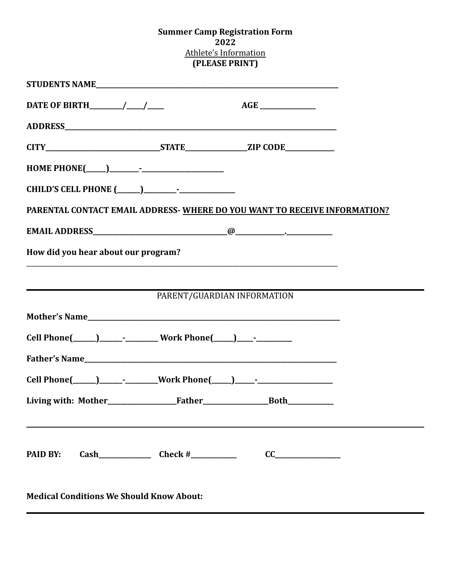## **Summer Camp Registration Form 2022** Athlete's Information **(PLEASE PRINT)**

| PARENTAL CONTACT EMAIL ADDRESS- WHERE DO YOU WANT TO RECEIVE INFORMATION?        |                             |  |
|----------------------------------------------------------------------------------|-----------------------------|--|
|                                                                                  |                             |  |
| How did you hear about our program?                                              |                             |  |
|                                                                                  |                             |  |
|                                                                                  | PARENT/GUARDIAN INFORMATION |  |
|                                                                                  |                             |  |
| Cell Phone(_____)_________________Work Phone(____)______________________________ |                             |  |
|                                                                                  |                             |  |
|                                                                                  |                             |  |
|                                                                                  |                             |  |
|                                                                                  |                             |  |
| PAID BY:                                                                         |                             |  |
| Medical Conditions We Chauld Vreau About                                         |                             |  |

**Medical Conditions We Should Know About:**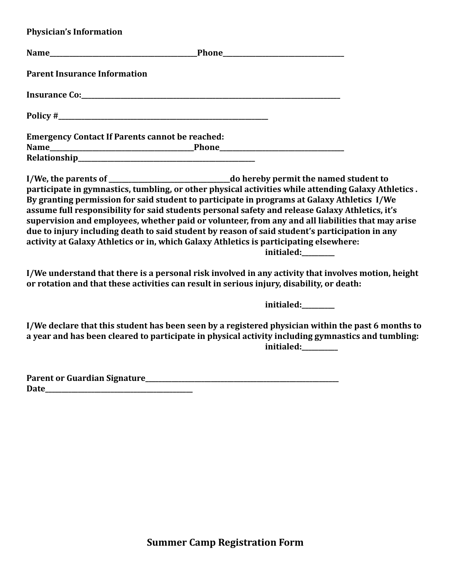**Physician's Information**

| <b>Parent Insurance Information</b>                    |                                                                                                                                                                                                                                                                                                                                                                                                                                                                                                                                                                                                                             |
|--------------------------------------------------------|-----------------------------------------------------------------------------------------------------------------------------------------------------------------------------------------------------------------------------------------------------------------------------------------------------------------------------------------------------------------------------------------------------------------------------------------------------------------------------------------------------------------------------------------------------------------------------------------------------------------------------|
|                                                        |                                                                                                                                                                                                                                                                                                                                                                                                                                                                                                                                                                                                                             |
|                                                        |                                                                                                                                                                                                                                                                                                                                                                                                                                                                                                                                                                                                                             |
| <b>Emergency Contact If Parents cannot be reached:</b> |                                                                                                                                                                                                                                                                                                                                                                                                                                                                                                                                                                                                                             |
|                                                        | participate in gymnastics, tumbling, or other physical activities while attending Galaxy Athletics.<br>By granting permission for said student to participate in programs at Galaxy Athletics I/We<br>assume full responsibility for said students personal safety and release Galaxy Athletics, it's<br>supervision and employees, whether paid or volunteer, from any and all liabilities that may arise<br>due to injury including death to said student by reason of said student's participation in any<br>activity at Galaxy Athletics or in, which Galaxy Athletics is participating elsewhere:<br>initialed:_______ |
|                                                        | I/We understand that there is a personal risk involved in any activity that involves motion, height<br>or rotation and that these activities can result in serious injury, disability, or death:                                                                                                                                                                                                                                                                                                                                                                                                                            |
|                                                        | initialed:_______                                                                                                                                                                                                                                                                                                                                                                                                                                                                                                                                                                                                           |
|                                                        | I/We declare that this student has been seen by a registered physician within the past 6 months to<br>a year and has been cleared to participate in physical activity including gymnastics and tumbling:<br>initialed:________                                                                                                                                                                                                                                                                                                                                                                                              |
|                                                        |                                                                                                                                                                                                                                                                                                                                                                                                                                                                                                                                                                                                                             |